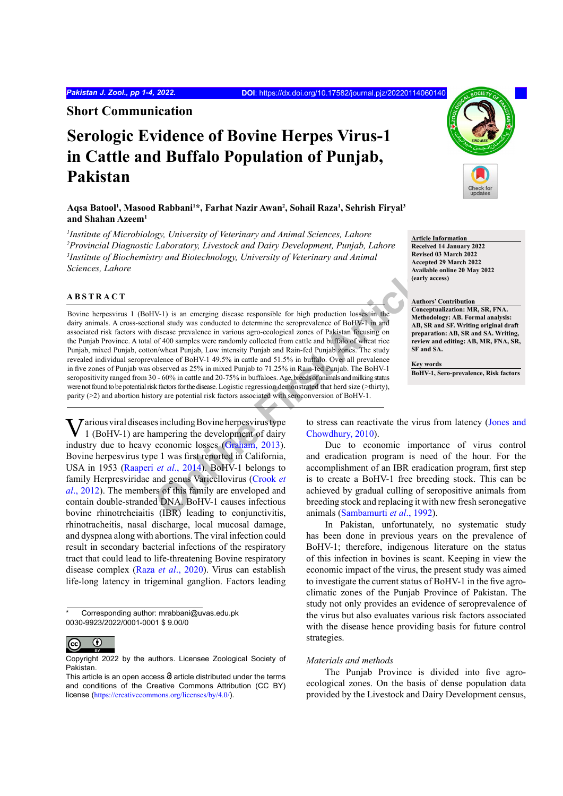**Short Communication**

# **Serologic Evidence of Bovine Herpes Virus-1 in Cattle and Buffalo Population of Punjab, Pakistan**

**Aqsa Batool1 , Masood Rabbani1 \*, Farhat Nazir Awan2 , Sohail Raza1 , Sehrish Firyal3 and Shahan Azeem1**

 *Institute of Microbiology, University of Veterinary and Animal Sciences, Lahore Provincial Diagnostic Laboratory, Livestock and Dairy Development, Punjab, Lahore Institute of Biochemistry and Biotechnology, University of Veterinary and Animal Sciences, Lahore*

# **ABSTRACT**

Availate<br> **CONFIGUATE:**<br> **CONFIGUATE:**<br> **CONFIGUATE:**<br>
And States prevalence in various agro-ecological zones of Palistan focusing on<br>
of 400 samples were randomly collected from cattle and buffalo of wheat rice<br>
of 400 sa Bovine herpesvirus 1 (BoHV-1) is an emerging disease responsible for high production losses in the dairy animals. A cross-sectional study was conducted to determine the seroprevalence of BoHV-1 in and associated risk factors with disease prevalence in various agro-ecological zones of Pakistan focusing on the Punjab Province. A total of 400 samples were randomly collected from cattle and buffalo of wheat rice Punjab, mixed Punjab, cotton/wheat Punjab, Low intensity Punjab and Rain-fed Punjab zones. The study revealed individual seroprevalence of BoHV-1 49.5% in cattle and 51.5% in buffalo. Over all prevalence in five zones of Punjab was observed as 25% in mixed Punjab to 71.25% in Rain-fed Punjab. The BoHV-1 seropositivity ranged from 30 - 60% in cattle and 20-75% in buffaloes. Age, breeds of animals and milking status were not found to be potential risk factors for the disease. Logistic regression demonstrated that herd size (>thirty), parity (>2) and abortion history are potential risk factors associated with seroconversion of BoHV-1.

Various viral diseases including Bovine herpesvirus type 1 (BoHV-1) are hampering the development of dairy industry due to heavy economic losses (Graham, 2013). Bovine herpesvirus type 1 was first reported in California, USA in 1953 (Raaperi *et al*., 2014). BoHV-1 belongs to family Herpresviridae and genus Varicellovirus (Crook *et al*[., 2012](#page-3-2)). The members of this family are enveloped and contain double-stranded DNA. BoHV-1 causes infectious bovine rhinotrcheiaitis (IBR) leading to conjunctivitis, rhinotracheitis, nasal discharge, local mucosal damage, and dyspnea along with abortions. The viral infection could result in secondary bacterial infections of the respiratory tract that could lead to life-threatening Bovine respiratory disease complex (Raza *et al*[., 2020](#page-3-3)). Virus can establish life-long latency in trigeminal ganglion. Factors leading

Corresponding author: mrabbani@uvas.edu.pk 0030-9923/2022/0001-0001 \$ 9.00/0



Copyright 2022 by the authors. Licensee Zoological Society of Pakistan.



**Article Information Received 14 January 2022 Revised 03 March 2022 Accepted 29 March 2022 Available online 20 May 2022 (early access)**

**Authors' Contribution Conceptualization: MR, SR, FNA. Methodology: AB. Formal analysis: AB, SR and SF. Writing original draft preparation: AB, SR and SA. Writing, review and editing: AB, MR, FNA, SR, SF and SA.**

**Key words BoHV-1, Sero-prevalence, Risk factors**

to stress can reactivate the virus from latency ([Jones and](#page-3-4) Chowdhury, 2010).

Due to economic importance of virus control and eradication program is need of the hour. For the accomplishment of an IBR eradication program, first step is to create a BoHV-1 free breeding stock. This can be achieved by gradual culling of seropositive animals from breeding stock and replacing it with new fresh seronegative animals (Sambamurti *et al*., 1992).

In Pakistan, unfortunately, no systematic study has been done in previous years on the prevalence of BoHV-1; therefore, indigenous literature on the status of this infection in bovines is scant. Keeping in view the economic impact of the virus, the present study was aimed to investigate the current status of BoHV-1 in the five agroclimatic zones of the Punjab Province of Pakistan. The study not only provides an evidence of seroprevalence of the virus but also evaluates various risk factors associated with the disease hence providing basis for future control strategies.

## *Materials and methods*

The Punjab Province is divided into five agroecological zones. On the basis of dense population data provided by the Livestock and Dairy Development census,

This article is an open access  $\Theta$  article distributed under the terms and conditions of the Creative Commons Attribution (CC BY) license (<https://creativecommons.org/licenses/by/4.0/>).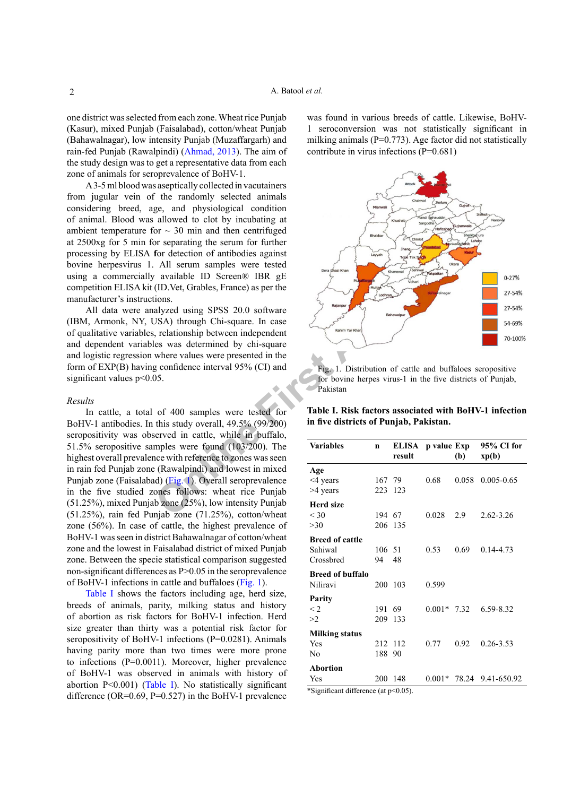one district was selected from each zone. Wheat rice Punjab (Kasur), mixed Punjab (Faisalabad), cotton/wheat Punjab (Bahawalnagar), low intensity Punjab (Muzaffargarh) and rain-fed Punjab (Rawalpindi) ([Ahmad, 2013](#page-3-6)). The aim of the study design was to get a representative data from each zone of animals for seroprevalence of BoHV-1.

A 3-5 ml blood was aseptically collected in vacutainers from jugular vein of the randomly selected animals considering breed, age, and physiological condition of animal. Blood was allowed to clot by incubating at ambient temperature for  $\sim$  30 min and then centrifuged at 2500xg for 5 min for separating the serum for further processing by ELISA **f**or detection of antibodies against bovine herpesvirus 1. All serum samples were tested using a commercially available ID Screen® IBR gE competition ELISA kit (ID.Vet, Grables, France) as per the manufacturer's instructions.

All data were analyzed using SPSS 20.0 software (IBM, Armonk, NY, USA) through Chi-square. In case of qualitative variables, relationship between independent and dependent variables was determined by chi-square and logistic regression where values were presented in the form of EXP(B) having confidence interval 95% (CI) and significant values  $p<0.05$ .

#### *Results*

**Particle** ID Screen® IBR gE<br>
(ID.Vet, Grables, France) as per the<br>
ions.<br>
alyzed using SPSS 20.0 software<br>
response to the square<br>
response to the summer spectrum of catterning between independent<br>
less was determined by In cattle, a total of 400 samples were tested for BoHV-1 antibodies. In this study overall, 49.5% (99/200) seropositivity was observed in cattle, while in buffalo, 51.5% seropositive samples were found (103/200). The highest overall prevalence with reference to zones was seen in rain fed Punjab zone (Rawalpindi) and lowest in mixed Punjab zone (Faisalabad) (Fig. 1). Overall seroprevalence in the five studied zones follows: wheat rice Punjab (51.25%), mixed Punjab zone (25%), low intensity Punjab (51.25%), rain fed Punjab zone (71.25%), cotton/wheat zone (56%). In case of cattle, the highest prevalence of BoHV-1 was seen in district Bahawalnagar of cotton/wheat zone and the lowest in Faisalabad district of mixed Punjab zone. Between the specie statistical comparison suggested non-significant differences as P>0.05 in the seroprevalence of BoHV-1 infections in cattle and buffaloes ([Fig. 1](#page-1-0)).

[Table I](#page-1-1) shows the factors including age, herd size, breeds of animals, parity, milking status and history of abortion as risk factors for BoHV-1 infection. Herd size greater than thirty was a potential risk factor for seropositivity of BoHV-1 infections (P=0.0281). Animals having parity more than two times were more prone to infections (P=0.0011). Moreover, higher prevalence of BoHV-1 was observed in animals with history of abortion P<0.001) ([Table I](#page-1-1)). No statistically significant difference (OR= $0.69$ , P= $0.527$ ) in the BoHV-1 prevalence

was found in various breeds of cattle. Likewise, BoHV-1 seroconversion was not statistically significant in milking animals ( $P=0.773$ ). Age factor did not statistically contribute in virus infections (P=0.681)



<span id="page-1-0"></span>Fig. 1. Distribution of cattle and buffaloes seropositive for bovine herpes virus-1 in the five districts of Punjab, Pakistan

<span id="page-1-1"></span>**Table I. Risk factors associated with BoHV-1 infection in five districts of Punjab, Pakistan.**

| <b>Variables</b>        | n      | result  | ELISA p value Exp | (b)   | 95% CI for<br>xp(b) |
|-------------------------|--------|---------|-------------------|-------|---------------------|
| Age                     |        |         |                   |       |                     |
| <4 years                | 167 79 |         | 0.68              | 0.058 | $0.005 - 0.65$      |
| >4 years                |        | 223 123 |                   |       |                     |
| <b>Herd size</b>        |        |         |                   |       |                     |
| $<$ 30                  | 194 67 |         | 0.028             | 2.9   | 2.62-3.26           |
| >30                     |        | 206 135 |                   |       |                     |
| <b>Breed of cattle</b>  |        |         |                   |       |                     |
| Sahiwal                 | 106 51 |         | 0.53              | 0.69  | 0.14-4.73           |
| Crossbred               | 94     | 48      |                   |       |                     |
| <b>Breed of buffalo</b> |        |         |                   |       |                     |
| Niliravi                | 200    | 103     | 0.599             |       |                     |
| Parity                  |        |         |                   |       |                     |
| $\leq$ 2.               | 191    | 69      | $0.001*$ 7.32     |       | 6.59-8.32           |
| >2                      | 209    | 133     |                   |       |                     |
| <b>Milking status</b>   |        |         |                   |       |                     |
| Yes                     | 212    | 112     | 0.77              | 0.92  | $0.26 - 3.53$       |
| No                      | 188    | 90      |                   |       |                     |
| <b>Abortion</b>         |        |         |                   |       |                     |
| Yes                     | 200    | 148     | $0.001*$          |       | 78.24 9.41-650.92   |

\*Significant difference (at p<0.05).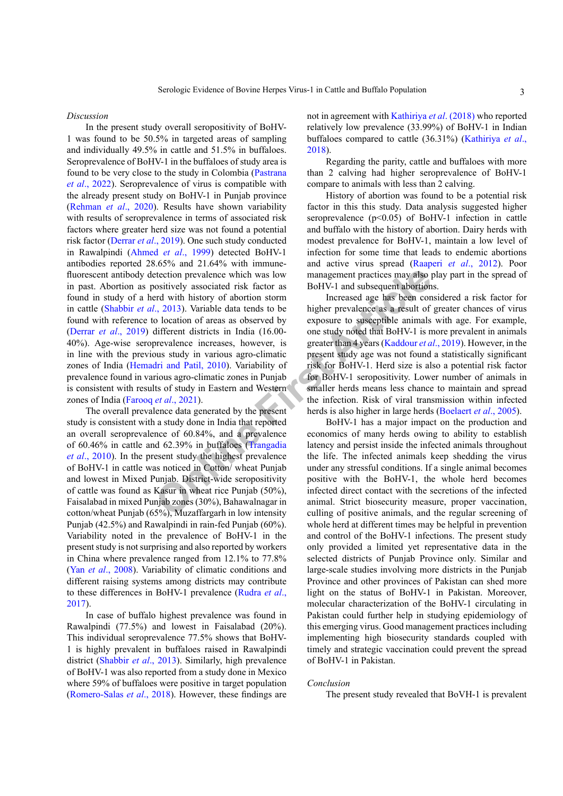*Discussion*

t[e](#page-3-14)ction prevalence which was low<br>
management practices may also<br>
on the state of the state and the state and the state and the state of<br>
(a) Occation of areas as observed by<br>
consider prevalence as a result of<br>
on cation o In the present study overall seropositivity of BoHV-1 was found to be 50.5% in targeted areas of sampling and individually 49.5% in cattle and 51.5% in buffaloes. Seroprevalence of BoHV-1 in the buffaloes of study area is found to be very close to the study in Colombia ([Pastrana](#page-3-7) *et al*[., 2022](#page-3-7)). Seroprevalence of virus is compatible with the already present study on BoHV-1 in Punjab province [\(Rehman](#page-3-8) *et al*., 2020). Results have shown variability with results of seroprevalence in terms of associated risk factors where greater herd size was not found a potential risk factor [\(Derrar](#page-3-9) *et al*., 2019). One such study conducted in Rawalpindi [\(Ahmed](#page-3-10) *et al*., 1999) detected BoHV-1 antibodies reported 28.65% and 21.64% with immunefluorescent antibody detection prevalence which was low in past. Abortion as positively associated risk factor as found in study of a herd with history of abortion storm in cattle (Shabbir *et al*., 2013). Variable data tends to be found with reference to location of areas as observed by (Derrar *et al*[., 2019](#page-3-9)) different districts in India (16.00- 40%). Age-wise seroprevalence increases, however, is in line with the previous study in various agro-climatic zones of India ([Hemadri and Patil, 2010](#page-3-12)). Variability of prevalence found in various agro-climatic zones in Punjab is consistent with results of study in Eastern and Western zones of India (Farooq *et al*., 2021).

The overall prevalence data generated by the present study is consistent with a study done in India that reported an overall seroprevalence of 60.84%, and a prevalence of 60.46% in cattle and 62.39% in buffaloes (Trangadia *et al*[., 2010](#page-3-14)). In the present study the highest prevalence of BoHV-1 in cattle was noticed in Cotton/ wheat Punjab and lowest in Mixed Punjab. District-wide seropositivity of cattle was found as Kasur in wheat rice Punjab (50%), Faisalabad in mixed Punjab zones (30%), Bahawalnagar in cotton/wheat Punjab (65%), Muzaffargarh in low intensity Punjab (42.5%) and Rawalpindi in rain-fed Punjab (60%). Variability noted in the prevalence of BoHV-1 in the present study is not surprising and also reported by workers in China where prevalence ranged from 12.1% to 77.8% (Yan *et al*[., 2008](#page-3-15)). Variability of climatic conditions and different raising systems among districts may contribute to these differences in BoHV-1 prevalence ([Rudra](#page-3-16) *et al*., [2017](#page-3-16)).

In case of buffalo highest prevalence was found in Rawalpindi (77.5%) and lowest in Faisalabad (20%). This individual seroprevalence 77.5% shows that BoHV-1 is highly prevalent in buffaloes raised in Rawalpindi district [\(Shabbir](#page-3-11) *et al*., 2013). Similarly, high prevalence of BoHV-1 was also reported from a study done in Mexico where 59% of buffaloes were positive in target population (Romero-Salas *et al*., 2018). However, these findings are not in agreement with [Kathiriya](#page-3-17) *et al*. (2018) who reported relatively low prevalence (33.99%) of BoHV-1 in Indian buffaloes compared to cattle (36.31%) [\(Kathiriya](#page-3-17) *et al*., [2018](#page-3-17)).

Regarding the parity, cattle and buffaloes with more than 2 calving had higher seroprevalence of BoHV-1 compare to animals with less than 2 calving.

History of abortion was found to be a potential risk factor in this this study. Data analysis suggested higher seroprevalence  $(p<0.05)$  of BoHV-1 infection in cattle and buffalo with the history of abortion. Dairy herds with modest prevalence for BoHV-1, maintain a low level of infection for some time that leads to endemic abortions and active virus spread ([Raaperi](#page-3-18) *et al*., 2012). Poor management practices may also play part in the spread of BoHV-1 and subsequent abortions.

Increased age has been considered a risk factor for higher prevalence as a result of greater chances of virus exposure to susceptible animals with age. For example, one study noted that BoHV-1 is more prevalent in animals greater than 4 years (Kaddour *et al*., 2019). However, in the present study age was not found a statistically significant risk for BoHV-1. Herd size is also a potential risk factor for BoHV-1 seropositivity. Lower number of animals in smaller herds means less chance to maintain and spread the infection. Risk of viral transmission within infected herds is also higher in large herds ([Boelaert](#page-3-20) *et al*., 2005).

BoHV-1 has a major impact on the production and economics of many herds owing to ability to establish latency and persist inside the infected animals throughout the life. The infected animals keep shedding the virus under any stressful conditions. If a single animal becomes positive with the BoHV-1, the whole herd becomes infected direct contact with the secretions of the infected animal. Strict biosecurity measure, proper vaccination, culling of positive animals, and the regular screening of whole herd at different times may be helpful in prevention and control of the BoHV-1 infections. The present study only provided a limited yet representative data in the selected districts of Punjab Province only. Similar and large-scale studies involving more districts in the Punjab Province and other provinces of Pakistan can shed more light on the status of BoHV-1 in Pakistan. Moreover, molecular characterization of the BoHV-1 circulating in Pakistan could further help in studying epidemiology of this emerging virus. Good management practices including implementing high biosecurity standards coupled with timely and strategic vaccination could prevent the spread of BoHV-1 in Pakistan.

## *Conclusion*

The present study revealed that BoVH-1 is prevalent